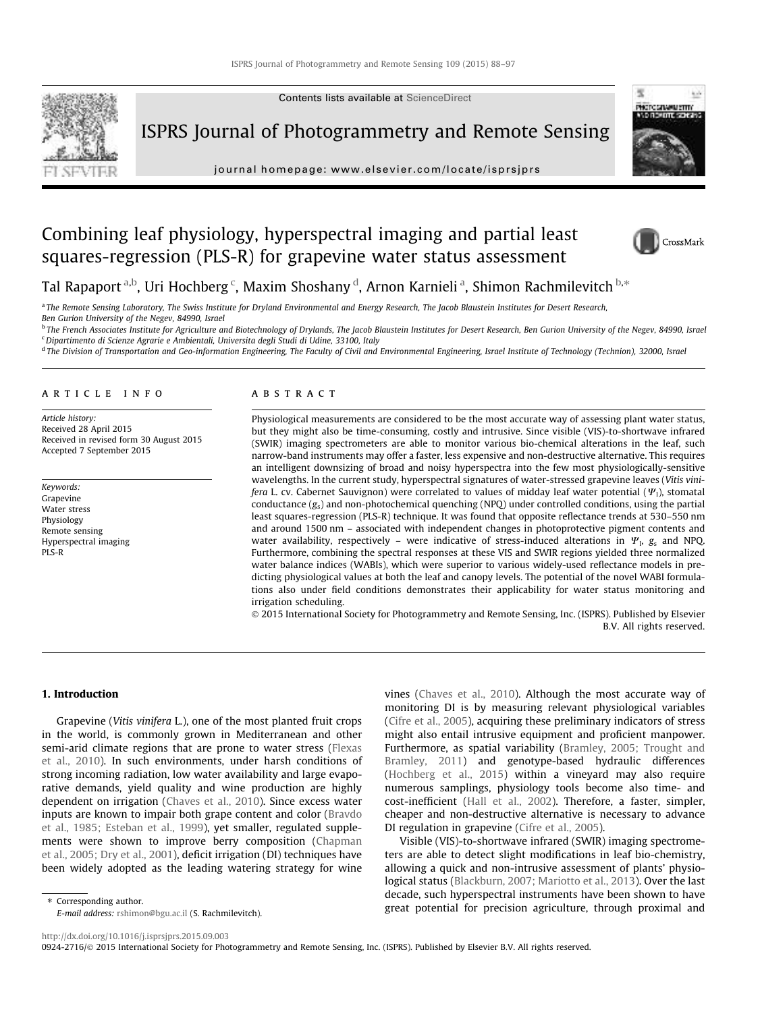

Contents lists available at ScienceDirect

ISPRS Journal of Photogrammetry and Remote Sensing

journal homepage: www.elsevier.com/locate/isprsjprs



# Combining leaf physiology, hyperspectral imaging and partial least squares-regression (PLS-R) for grapevine water status assessment



Tal Rapaport <sup>a,b</sup>, Uri Hochberg <sup>c</sup>, Maxim Shoshany <sup>d</sup>, Arnon Karnieli <sup>a</sup>, Shimon Rachmilevitch <sup>b,</sup>\*

a *The Remote Sensing Laboratory, The Swiss Institute for Dryland Environmental and Energy Research, The Jacob Blaustein Institutes for Desert Research,*

*Ben Gurion University of the Negev, 84990, Israel*

b *The French Associates Institute for Agriculture and Biotechnology of Drylands, The Jacob Blaustein Institutes for Desert Research, Ben Gurion University of the Negev, 84990, Israel* <sup>c</sup>*Dipartimento di Scienze Agrarie e Ambientali, Universita degli Studi di Udine, 33100, Italy*

<sup>d</sup> The Division of Transportation and Geo-information Engineering, The Faculty of Civil and Environmental Engineering, Israel Institute of Technology (Technion), 32000, Israel

## article info

*Article history:* Received 28 April 2015 Received in revised form 30 August 2015 Accepted 7 September 2015

*Keywords:* Grapevine Water stress Physiology Remote sensing Hyperspectral imaging PLS-R

# ABSTRACT

Physiological measurements are considered to be the most accurate way of assessing plant water status, but they might also be time-consuming, costly and intrusive. Since visible (VIS)-to-shortwave infrared (SWIR) imaging spectrometers are able to monitor various bio-chemical alterations in the leaf, such narrow-band instruments may offer a faster, less expensive and non-destructive alternative. This requires an intelligent downsizing of broad and noisy hyperspectra into the few most physiologically-sensitive wavelengths. In the current study, hyperspectral signatures of water-stressed grapevine leaves (*Vitis vinifera* L. cv. Cabernet Sauvignon) were correlated to values of midday leaf water potential  $(\Psi_1)$ , stomatal conductance (*g*s) and non-photochemical quenching (NPQ) under controlled conditions, using the partial least squares-regression (PLS-R) technique. It was found that opposite reflectance trends at 530–550 nm and around 1500 nm – associated with independent changes in photoprotective pigment contents and water availability, respectively – were indicative of stress-induced alterations in  $\Psi_{\rm b}$ ,  $g_{\rm s}$  and NPQ. Furthermore, combining the spectral responses at these VIS and SWIR regions yielded three normalized water balance indices (WABIs), which were superior to various widely-used reflectance models in predicting physiological values at both the leaf and canopy levels. The potential of the novel WABI formulations also under field conditions demonstrates their applicability for water status monitoring and irrigation scheduling.

 2015 International Society for Photogrammetry and Remote Sensing, Inc. (ISPRS). Published by Elsevier B.V. All rights reserved.

# 1. Introduction

Grapevine (*Vitis vinifera* L.), one of the most planted fruit crops in the world, is commonly grown in Mediterranean and other semi-arid climate regions that are prone to water stress (Flexas et al., 2010). In such environments, under harsh conditions of strong incoming radiation, low water availability and large evaporative demands, yield quality and wine production are highly dependent on irrigation (Chaves et al., 2010). Since excess water inputs are known to impair both grape content and color (Bravdo et al., 1985; Esteban et al., 1999), yet smaller, regulated supplements were shown to improve berry composition (Chapman et al., 2005; Dry et al., 2001), deficit irrigation (DI) techniques have been widely adopted as the leading watering strategy for wine

Visible (VIS)-to-shortwave infrared (SWIR) imaging spectrometers are able to detect slight modifications in leaf bio-chemistry, allowing a quick and non-intrusive assessment of plants' physiological status (Blackburn, 2007; Mariotto et al., 2013). Over the last decade, such hyperspectral instruments have been shown to have great potential for precision agriculture, through proximal and

⇑ Corresponding author.

*E-mail address:* rshimon@bgu.ac.il (S. Rachmilevitch).

http://dx.doi.org/10.1016/j.isprsjprs.2015.09.003 0924-2716/ 2015 International Society for Photogrammetry and Remote Sensing, Inc. (ISPRS). Published by Elsevier B.V. All rights reserved.

vines (Chaves et al., 2010). Although the most accurate way of monitoring DI is by measuring relevant physiological variables (Cifre et al., 2005), acquiring these preliminary indicators of stress might also entail intrusive equipment and proficient manpower. Furthermore, as spatial variability (Bramley, 2005; Trought and Bramley, 2011) and genotype-based hydraulic differences (Hochberg et al., 2015) within a vineyard may also require numerous samplings, physiology tools become also time- and cost-inefficient (Hall et al., 2002). Therefore, a faster, simpler, cheaper and non-destructive alternative is necessary to advance DI regulation in grapevine (Cifre et al., 2005).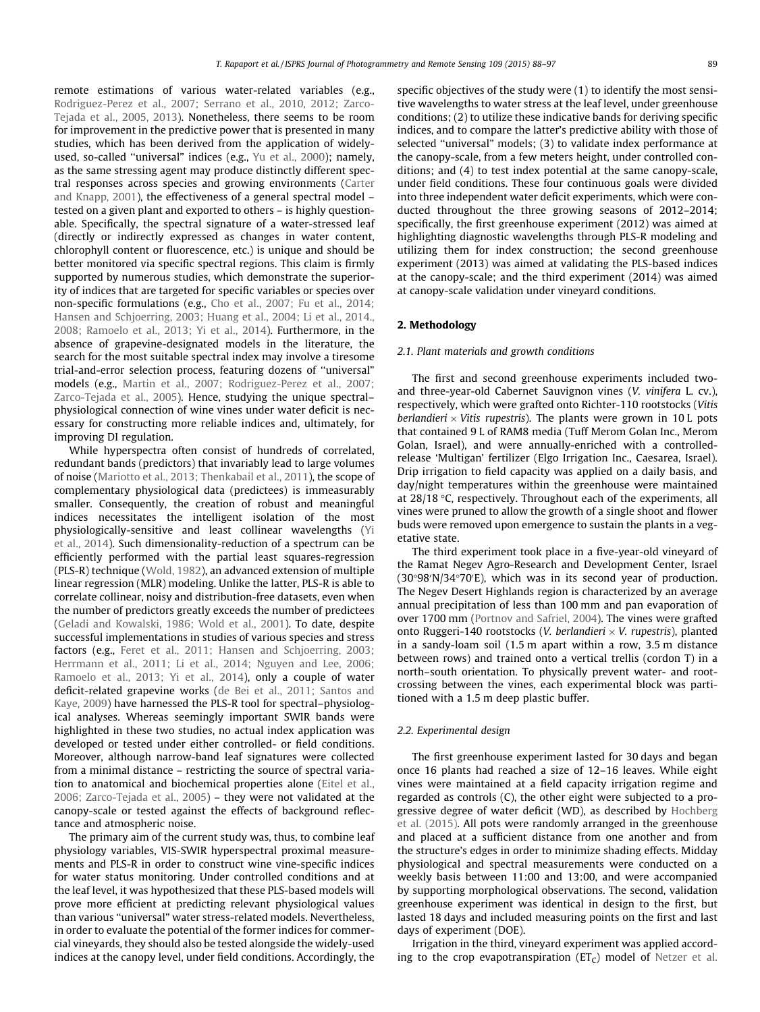remote estimations of various water-related variables (e.g., Rodriguez-Perez et al., 2007; Serrano et al., 2010, 2012; Zarco-Tejada et al., 2005, 2013). Nonetheless, there seems to be room for improvement in the predictive power that is presented in many studies, which has been derived from the application of widelyused, so-called ''universal" indices (e.g., Yu et al., 2000); namely, as the same stressing agent may produce distinctly different spectral responses across species and growing environments (Carter and Knapp, 2001), the effectiveness of a general spectral model – tested on a given plant and exported to others – is highly questionable. Specifically, the spectral signature of a water-stressed leaf (directly or indirectly expressed as changes in water content, chlorophyll content or fluorescence, etc.) is unique and should be better monitored via specific spectral regions. This claim is firmly supported by numerous studies, which demonstrate the superiority of indices that are targeted for specific variables or species over non-specific formulations (e.g., Cho et al., 2007; Fu et al., 2014; Hansen and Schjoerring, 2003; Huang et al., 2004; Li et al., 2014., 2008; Ramoelo et al., 2013; Yi et al., 2014). Furthermore, in the absence of grapevine-designated models in the literature, the search for the most suitable spectral index may involve a tiresome trial-and-error selection process, featuring dozens of ''universal" models (e.g., Martin et al., 2007; Rodriguez-Perez et al., 2007; Zarco-Tejada et al., 2005). Hence, studying the unique spectral– physiological connection of wine vines under water deficit is necessary for constructing more reliable indices and, ultimately, for improving DI regulation.

While hyperspectra often consist of hundreds of correlated, redundant bands (predictors) that invariably lead to large volumes of noise (Mariotto et al., 2013; Thenkabail et al., 2011), the scope of complementary physiological data (predictees) is immeasurably smaller. Consequently, the creation of robust and meaningful indices necessitates the intelligent isolation of the most physiologically-sensitive and least collinear wavelengths (Yi et al., 2014). Such dimensionality-reduction of a spectrum can be efficiently performed with the partial least squares-regression (PLS-R) technique (Wold, 1982), an advanced extension of multiple linear regression (MLR) modeling. Unlike the latter, PLS-R is able to correlate collinear, noisy and distribution-free datasets, even when the number of predictors greatly exceeds the number of predictees (Geladi and Kowalski, 1986; Wold et al., 2001). To date, despite successful implementations in studies of various species and stress factors (e.g., Feret et al., 2011; Hansen and Schjoerring, 2003; Herrmann et al., 2011; Li et al., 2014; Nguyen and Lee, 2006; Ramoelo et al., 2013; Yi et al., 2014), only a couple of water deficit-related grapevine works (de Bei et al., 2011; Santos and Kaye, 2009) have harnessed the PLS-R tool for spectral–physiological analyses. Whereas seemingly important SWIR bands were highlighted in these two studies, no actual index application was developed or tested under either controlled- or field conditions. Moreover, although narrow-band leaf signatures were collected from a minimal distance – restricting the source of spectral variation to anatomical and biochemical properties alone (Eitel et al., 2006; Zarco-Tejada et al., 2005) – they were not validated at the canopy-scale or tested against the effects of background reflectance and atmospheric noise.

The primary aim of the current study was, thus, to combine leaf physiology variables, VIS-SWIR hyperspectral proximal measurements and PLS-R in order to construct wine vine-specific indices for water status monitoring. Under controlled conditions and at the leaf level, it was hypothesized that these PLS-based models will prove more efficient at predicting relevant physiological values than various ''universal" water stress-related models. Nevertheless, in order to evaluate the potential of the former indices for commercial vineyards, they should also be tested alongside the widely-used indices at the canopy level, under field conditions. Accordingly, the

specific objectives of the study were (1) to identify the most sensitive wavelengths to water stress at the leaf level, under greenhouse conditions; (2) to utilize these indicative bands for deriving specific indices, and to compare the latter's predictive ability with those of selected ''universal" models; (3) to validate index performance at the canopy-scale, from a few meters height, under controlled conditions; and (4) to test index potential at the same canopy-scale, under field conditions. These four continuous goals were divided into three independent water deficit experiments, which were conducted throughout the three growing seasons of 2012–2014; specifically, the first greenhouse experiment (2012) was aimed at highlighting diagnostic wavelengths through PLS-R modeling and utilizing them for index construction; the second greenhouse experiment (2013) was aimed at validating the PLS-based indices at the canopy-scale; and the third experiment (2014) was aimed at canopy-scale validation under vineyard conditions.

### 2. Methodology

# *2.1. Plant materials and growth conditions*

The first and second greenhouse experiments included twoand three-year-old Cabernet Sauvignon vines (*V. vinifera* L. cv.), respectively, which were grafted onto Richter-110 rootstocks (*Vitis berlandieri*  $\times$  *Vitis rupestris*). The plants were grown in 10 L pots that contained 9 L of RAM8 media (Tuff Merom Golan Inc., Merom Golan, Israel), and were annually-enriched with a controlledrelease 'Multigan' fertilizer (Elgo Irrigation Inc., Caesarea, Israel). Drip irrigation to field capacity was applied on a daily basis, and day/night temperatures within the greenhouse were maintained at  $28/18$  °C, respectively. Throughout each of the experiments, all vines were pruned to allow the growth of a single shoot and flower buds were removed upon emergence to sustain the plants in a vegetative state.

The third experiment took place in a five-year-old vineyard of the Ramat Negev Agro-Research and Development Center, Israel  $(30°98'N/34°70'E)$ , which was in its second year of production. The Negev Desert Highlands region is characterized by an average annual precipitation of less than 100 mm and pan evaporation of over 1700 mm (Portnov and Safriel, 2004). The vines were grafted onto Ruggeri-140 rootstocks (*V. berlandieri V. rupestris*), planted in a sandy-loam soil (1.5 m apart within a row, 3.5 m distance between rows) and trained onto a vertical trellis (cordon T) in a north–south orientation. To physically prevent water- and rootcrossing between the vines, each experimental block was partitioned with a 1.5 m deep plastic buffer.

## *2.2. Experimental design*

The first greenhouse experiment lasted for 30 days and began once 16 plants had reached a size of 12–16 leaves. While eight vines were maintained at a field capacity irrigation regime and regarded as controls (C), the other eight were subjected to a progressive degree of water deficit (WD), as described by Hochberg et al. (2015). All pots were randomly arranged in the greenhouse and placed at a sufficient distance from one another and from the structure's edges in order to minimize shading effects. Midday physiological and spectral measurements were conducted on a weekly basis between 11:00 and 13:00, and were accompanied by supporting morphological observations. The second, validation greenhouse experiment was identical in design to the first, but lasted 18 days and included measuring points on the first and last days of experiment (DOE).

Irrigation in the third, vineyard experiment was applied according to the crop evapotranspiration ( $ET<sub>C</sub>$ ) model of Netzer et al.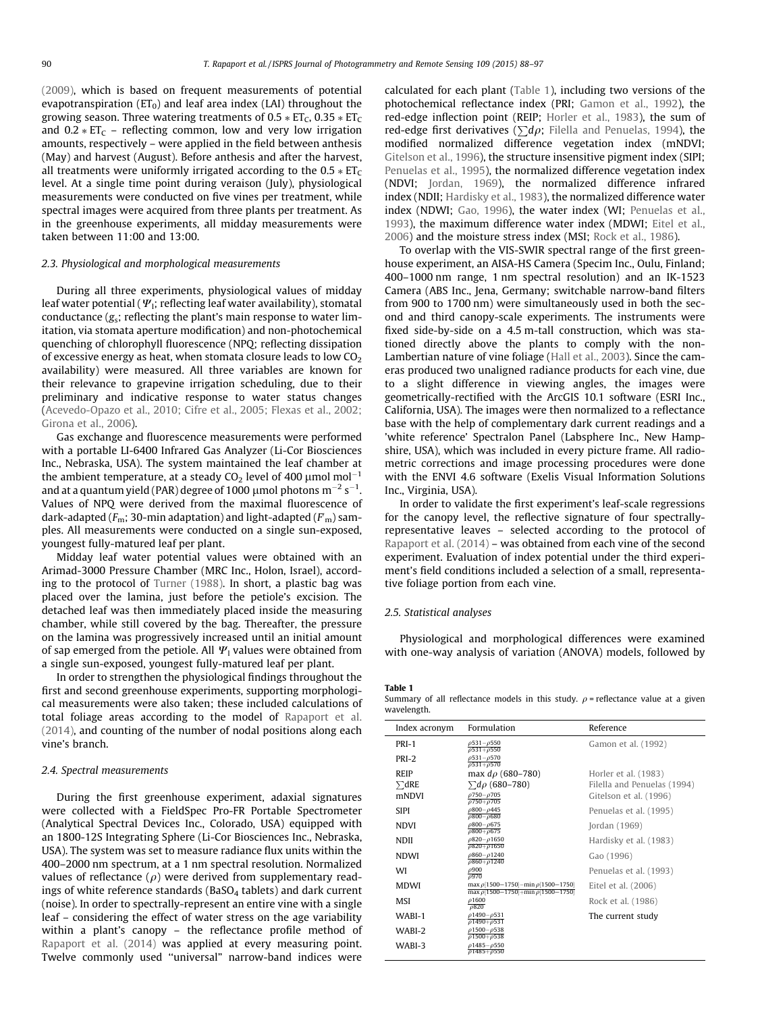(2009), which is based on frequent measurements of potential evapotranspiration ( $ET_0$ ) and leaf area index (LAI) throughout the growing season. Three watering treatments of  $0.5 * ET<sub>C</sub>$ ,  $0.35 * ET<sub>C</sub>$ and  $0.2 * ET_C$  – reflecting common, low and very low irrigation amounts, respectively – were applied in the field between anthesis (May) and harvest (August). Before anthesis and after the harvest, all treatments were uniformly irrigated according to the  $0.5 * ET<sub>C</sub>$ level. At a single time point during veraison (July), physiological measurements were conducted on five vines per treatment, while spectral images were acquired from three plants per treatment. As in the greenhouse experiments, all midday measurements were taken between 11:00 and 13:00.

# *2.3. Physiological and morphological measurements*

During all three experiments, physiological values of midday leaf water potential ( $\Psi$ <sub>i</sub>; reflecting leaf water availability), stomatal conductance (*g*s; reflecting the plant's main response to water limitation, via stomata aperture modification) and non-photochemical quenching of chlorophyll fluorescence (NPQ; reflecting dissipation of excessive energy as heat, when stomata closure leads to low  $CO<sub>2</sub>$ availability) were measured. All three variables are known for their relevance to grapevine irrigation scheduling, due to their preliminary and indicative response to water status changes (Acevedo-Opazo et al., 2010; Cifre et al., 2005; Flexas et al., 2002; Girona et al., 2006).

Gas exchange and fluorescence measurements were performed with a portable LI-6400 Infrared Gas Analyzer (Li-Cor Biosciences Inc., Nebraska, USA). The system maintained the leaf chamber at the ambient temperature, at a steady  $CO<sub>2</sub>$  level of 400  $\mu$ mol mol<sup>-1</sup> and at a quantum yield (PAR) degree of 1000  $\mu$ mol photons m $^{-2}$  s $^{-1}$ . Values of NPQ were derived from the maximal fluorescence of dark-adapted (*F*m; 30-min adaptation) and light-adapted (*F* 0 m) samples. All measurements were conducted on a single sun-exposed, youngest fully-matured leaf per plant.

Midday leaf water potential values were obtained with an Arimad-3000 Pressure Chamber (MRC Inc., Holon, Israel), according to the protocol of Turner (1988). In short, a plastic bag was placed over the lamina, just before the petiole's excision. The detached leaf was then immediately placed inside the measuring chamber, while still covered by the bag. Thereafter, the pressure on the lamina was progressively increased until an initial amount of sap emerged from the petiole. All  $\Psi_1$  values were obtained from a single sun-exposed, youngest fully-matured leaf per plant.

In order to strengthen the physiological findings throughout the first and second greenhouse experiments, supporting morphological measurements were also taken; these included calculations of total foliage areas according to the model of Rapaport et al. (2014), and counting of the number of nodal positions along each vine's branch.

#### *2.4. Spectral measurements*

During the first greenhouse experiment, adaxial signatures were collected with a FieldSpec Pro-FR Portable Spectrometer (Analytical Spectral Devices Inc., Colorado, USA) equipped with an 1800-12S Integrating Sphere (Li-Cor Biosciences Inc., Nebraska, USA). The system was set to measure radiance flux units within the 400–2000 nm spectrum, at a 1 nm spectral resolution. Normalized values of reflectance  $(\rho)$  were derived from supplementary readings of white reference standards (BaSO<sub>4</sub> tablets) and dark current (noise). In order to spectrally-represent an entire vine with a single leaf – considering the effect of water stress on the age variability within a plant's canopy – the reflectance profile method of Rapaport et al. (2014) was applied at every measuring point. Twelve commonly used ''universal" narrow-band indices were calculated for each plant (Table 1), including two versions of the photochemical reflectance index (PRI; Gamon et al., 1992), the red-edge inflection point (REIP; Horler et al., 1983), the sum of red-edge first derivatives ( $\sum d\rho$ ; Filella and Penuelas, 1994), the modified normalized difference vegetation index (mNDVI; Gitelson et al., 1996), the structure insensitive pigment index (SIPI; Penuelas et al., 1995), the normalized difference vegetation index (NDVI; Jordan, 1969), the normalized difference infrared index (NDII; Hardisky et al., 1983), the normalized difference water index (NDWI; Gao, 1996), the water index (WI; Penuelas et al., 1993), the maximum difference water index (MDWI; Eitel et al., 2006) and the moisture stress index (MSI; Rock et al., 1986).

To overlap with the VIS-SWIR spectral range of the first greenhouse experiment, an AISA-HS Camera (Specim Inc., Oulu, Finland; 400–1000 nm range, 1 nm spectral resolution) and an IK-1523 Camera (ABS Inc., Jena, Germany; switchable narrow-band filters from 900 to 1700 nm) were simultaneously used in both the second and third canopy-scale experiments. The instruments were fixed side-by-side on a 4.5 m-tall construction, which was stationed directly above the plants to comply with the non-Lambertian nature of vine foliage (Hall et al., 2003). Since the cameras produced two unaligned radiance products for each vine, due to a slight difference in viewing angles, the images were geometrically-rectified with the ArcGIS 10.1 software (ESRI Inc., California, USA). The images were then normalized to a reflectance base with the help of complementary dark current readings and a 'white reference' Spectralon Panel (Labsphere Inc., New Hampshire, USA), which was included in every picture frame. All radiometric corrections and image processing procedures were done with the ENVI 4.6 software (Exelis Visual Information Solutions Inc., Virginia, USA).

In order to validate the first experiment's leaf-scale regressions for the canopy level, the reflective signature of four spectrallyrepresentative leaves – selected according to the protocol of Rapaport et al. (2014) – was obtained from each vine of the second experiment. Evaluation of index potential under the third experiment's field conditions included a selection of a small, representative foliage portion from each vine.

#### *2.5. Statistical analyses*

Physiological and morphological differences were examined with one-way analysis of variation (ANOVA) models, followed by

Table 1

Summary of all reflectance models in this study.  $\rho$  = reflectance value at a given wavelength.

| Index acronym | Formulation                                        | Reference                                                                                                                                  |
|---------------|----------------------------------------------------|--------------------------------------------------------------------------------------------------------------------------------------------|
| PRI-1         | $\rho$ 531 - $\rho$ 550                            | Gamon et al. (1992)                                                                                                                        |
| PRI-2         | $\rho$ 531 - $\rho$ 570                            |                                                                                                                                            |
| REIP          | max $d\rho$ (680–780)                              | Horler et al. (1983)                                                                                                                       |
| $\sum dRE$    | $\sum d\rho (680 - 780)$                           | Filella and Penuelas (1994)                                                                                                                |
| mNDVI         | $\rho$ 750 $-\rho$ 705<br>$\rho$ 750+ $\rho$ 705   | Gitelson et al. (1996)                                                                                                                     |
| <b>SIPI</b>   | $\rho$ 800 - $\rho$ 445<br>$\rho$ 800- $\rho$ 680  | Penuelas et al. (1995)                                                                                                                     |
| <b>NDVI</b>   | $\rho$ 800 $-\rho$ 675<br>$\rho$ 800+ $\rho$ 675   | Jordan $(1969)$                                                                                                                            |
| NDII          | $\rho$ 820- $\rho$ 1650<br>$0820 + 01650$          | Hardisky et al. (1983)                                                                                                                     |
| NDWI          | $\rho$ 860- $\rho$ 1240<br>$\rho$ 860+ $\rho$ 1240 | Gao (1996)                                                                                                                                 |
| WI            | $\rho$ 900<br>0970                                 | Penuelas et al. (1993)                                                                                                                     |
| <b>MDWI</b>   | max $\rho$ [1500-1750]-min $\rho$ [1500-1750]      | Eitel et al. (2006)                                                                                                                        |
| MSI           | $\rho$ 1600                                        | Rock et al. (1986)                                                                                                                         |
| WABI-1        | $\rho$ 1490 - $\rho$ 531                           | The current study                                                                                                                          |
| WABI-2        | $\rho$ 1500- $\rho$ 538<br>$\rho$ 1500+ $\rho$ 538 |                                                                                                                                            |
| WABI-3        | $\rho$ 1485 $-\rho$ 550<br>$\rho$ 1485+ $\rho$ 550 |                                                                                                                                            |
|               |                                                    | $\rho$ 531+ $\rho$ 550<br>$\rho$ 531+ $\rho$ 570<br>max $\rho$ [1500-1750]+min $\rho$ [1500-1750]<br>$\rho$ 820<br>$\rho$ 1490+ $\rho$ 531 |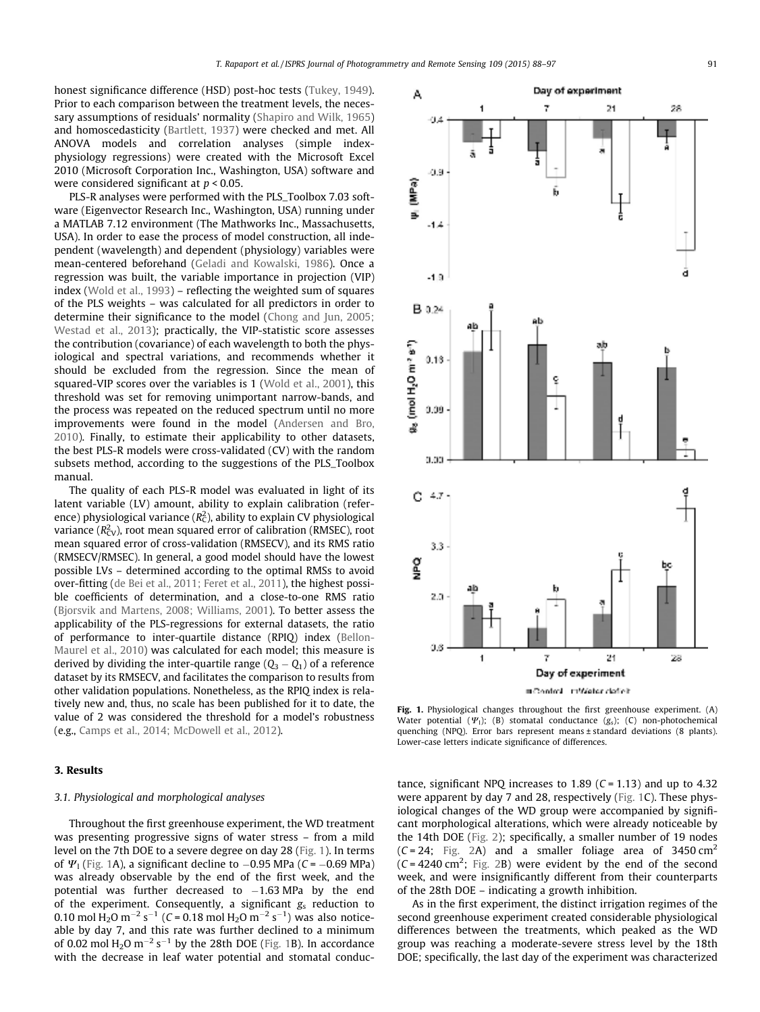honest significance difference (HSD) post-hoc tests (Tukey, 1949). Prior to each comparison between the treatment levels, the necessary assumptions of residuals' normality (Shapiro and Wilk, 1965) and homoscedasticity (Bartlett, 1937) were checked and met. All ANOVA models and correlation analyses (simple indexphysiology regressions) were created with the Microsoft Excel 2010 (Microsoft Corporation Inc., Washington, USA) software and were considered significant at *p* < 0.05.

PLS-R analyses were performed with the PLS\_Toolbox 7.03 software (Eigenvector Research Inc., Washington, USA) running under a MATLAB 7.12 environment (The Mathworks Inc., Massachusetts, USA). In order to ease the process of model construction, all independent (wavelength) and dependent (physiology) variables were mean-centered beforehand (Geladi and Kowalski, 1986). Once a regression was built, the variable importance in projection (VIP) index (Wold et al., 1993) – reflecting the weighted sum of squares of the PLS weights – was calculated for all predictors in order to determine their significance to the model (Chong and Jun, 2005; Westad et al., 2013); practically, the VIP-statistic score assesses the contribution (covariance) of each wavelength to both the physiological and spectral variations, and recommends whether it should be excluded from the regression. Since the mean of squared-VIP scores over the variables is 1 (Wold et al., 2001), this threshold was set for removing unimportant narrow-bands, and the process was repeated on the reduced spectrum until no more improvements were found in the model (Andersen and Bro, 2010). Finally, to estimate their applicability to other datasets, the best PLS-R models were cross-validated (CV) with the random subsets method, according to the suggestions of the PLS\_Toolbox manual.

The quality of each PLS-R model was evaluated in light of its latent variable (LV) amount, ability to explain calibration (reference) physiological variance (Rz<sup>2</sup>), ability to explain CV physiological variance (R<sup>2</sup>cv), root mean squared error of calibration (RMSEC), root mean squared error of cross-validation (RMSECV), and its RMS ratio (RMSECV/RMSEC). In general, a good model should have the lowest possible LVs – determined according to the optimal RMSs to avoid over-fitting (de Bei et al., 2011; Feret et al., 2011), the highest possible coefficients of determination, and a close-to-one RMS ratio (Bjorsvik and Martens, 2008; Williams, 2001). To better assess the applicability of the PLS-regressions for external datasets, the ratio of performance to inter-quartile distance (RPIQ) index (Bellon-Maurel et al., 2010) was calculated for each model; this measure is derived by dividing the inter-quartile range  $(Q_3 - Q_1)$  of a reference dataset by its RMSECV, and facilitates the comparison to results from other validation populations. Nonetheless, as the RPIQ index is relatively new and, thus, no scale has been published for it to date, the value of 2 was considered the threshold for a model's robustness (e.g., Camps et al., 2014; McDowell et al., 2012).

# 3. Results

# *3.1. Physiological and morphological analyses*

Throughout the first greenhouse experiment, the WD treatment was presenting progressive signs of water stress – from a mild level on the 7th DOE to a severe degree on day 28 (Fig. 1). In terms of  $\Psi$ <sub>1</sub> (Fig. 1A), a significant decline to  $-0.95$  MPa (*C* =  $-0.69$  MPa) was already observable by the end of the first week, and the potential was further decreased to  $-1.63$  MPa by the end of the experiment. Consequently, a significant *g<sub>s</sub>* reduction to  $0.10$  mol H<sub>2</sub>O m<sup>-2</sup> s<sup>-1</sup> (*C* = 0.18 mol H<sub>2</sub>O m<sup>-2</sup> s<sup>-1</sup>) was also noticeable by day 7, and this rate was further declined to a minimum of 0.02 mol  $H_2O$  m<sup>-2</sup> s<sup>-1</sup> by the 28th DOE (Fig. 1B). In accordance with the decrease in leaf water potential and stomatal conduc-



≡Control + DWeter defici

Fig. 1. Physiological changes throughout the first greenhouse experiment. (A) Water potential  $(\Psi_1)$ ; (B) stomatal conductance  $(g_s)$ ; (C) non-photochemical quenching (NPQ). Error bars represent means ± standard deviations (8 plants). Lower-case letters indicate significance of differences.

tance, significant NPQ increases to 1.89 (*C* = 1.13) and up to 4.32 were apparent by day 7 and 28, respectively (Fig. 1C). These physiological changes of the WD group were accompanied by significant morphological alterations, which were already noticeable by the 14th DOE (Fig. 2); specifically, a smaller number of 19 nodes  $(C = 24;$  Fig. 2A) and a smaller foliage area of 3450 cm<sup>2</sup>  $(C = 4240 \text{ cm}^2;$  Fig. 2B) were evident by the end of the second week, and were insignificantly different from their counterparts of the 28th DOE – indicating a growth inhibition.

As in the first experiment, the distinct irrigation regimes of the second greenhouse experiment created considerable physiological differences between the treatments, which peaked as the WD group was reaching a moderate-severe stress level by the 18th DOE; specifically, the last day of the experiment was characterized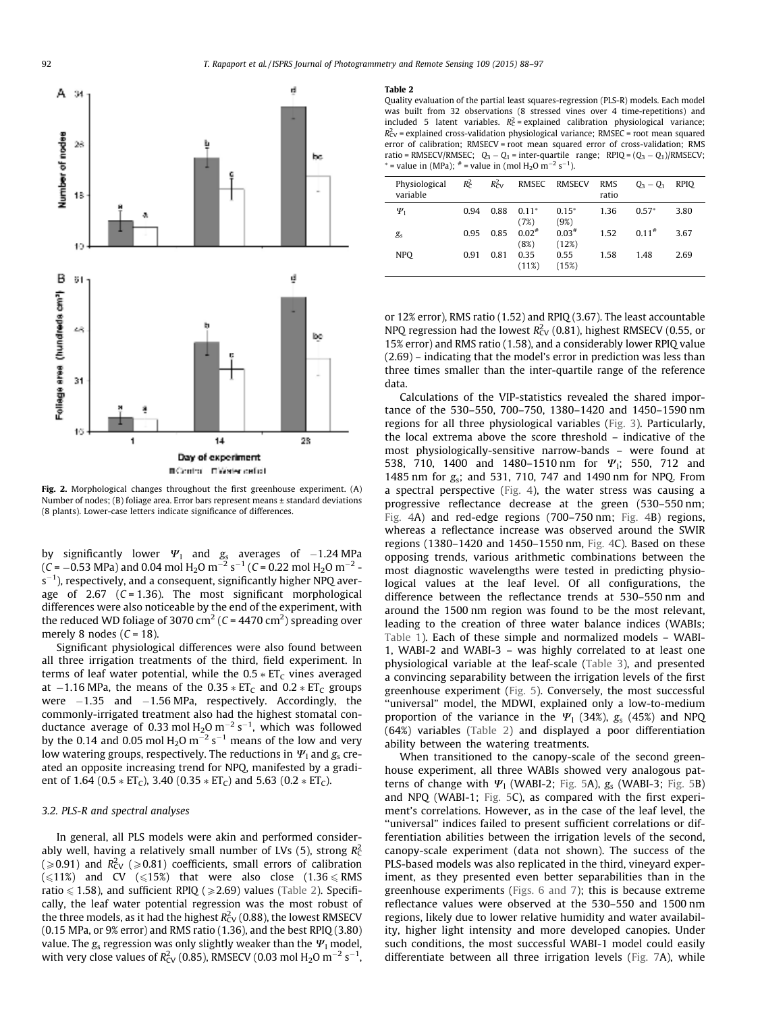

Fig. 2. Morphological changes throughout the first greenhouse experiment. (A) Number of nodes; (B) foliage area. Error bars represent means ± standard deviations (8 plants). Lower-case letters indicate significance of differences.

by significantly lower  $\Psi_1$  and  $g_{\rm s}$  averages of  $-1.24$  MPa (*C* =  $-0.53$  MPa) and 0.04 mol H<sub>2</sub>O m<sup>-2</sup> s<sup>-1</sup> (*C* = 0.22 mol H<sub>2</sub>O m<sup>-2</sup> s $^{-1}$ ), respectively, and a consequent, significantly higher NPQ average of 2.67 (*C* = 1.36). The most significant morphological differences were also noticeable by the end of the experiment, with the reduced WD foliage of 3070 cm<sup>2</sup> (C = 4470 cm<sup>2</sup>) spreading over merely 8 nodes (*C* = 18).

Significant physiological differences were also found between all three irrigation treatments of the third, field experiment. In terms of leaf water potential, while the  $0.5 * ET<sub>C</sub>$  vines averaged at  $-1.16$  MPa, the means of the 0.35  $*$  ET<sub>C</sub> and 0.2  $*$  ET<sub>C</sub> groups were  $-1.35$  and  $-1.56$  MPa, respectively. Accordingly, the commonly-irrigated treatment also had the highest stomatal conductance average of 0.33 mol H<sub>2</sub>O m<sup> $-2$ </sup> s<sup> $-1$ </sup>, which was followed by the 0.14 and 0.05 mol H<sub>2</sub>O m<sup> $-2$ </sup> s $^{-1}$  means of the low and very low watering groups, respectively. The reductions in  $\Psi_1$  and  $g_s$  created an opposite increasing trend for NPQ, manifested by a gradient of 1.64 (0.5  $*$  ET<sub>C</sub>), 3.40 (0.35  $*$  ET<sub>C</sub>) and 5.63 (0.2  $*$  ET<sub>C</sub>).

## *3.2. PLS-R and spectral analyses*

In general, all PLS models were akin and performed considerably well, having a relatively small number of LVs (5), strong *R* 2 C  $(\geqslant 0.91)$  and  $R_{\rm CV}^2$  ( $\geqslant 0.81$ ) coefficients, small errors of calibration  $(\leq 11\%)$  and CV  $(\leq 15\%)$  that were also close  $(1.36 \leq RMS)$ ratio  $\leq$  1.58), and sufficient RPIQ ( $\geq$ 2.69) values (Table 2). Specifically, the leaf water potential regression was the most robust of the three models, as it had the highest  $R^2_{\rm CV}$  (0.88), the lowest RMSECV (0.15 MPa, or 9% error) and RMS ratio (1.36), and the best RPIQ (3.80) value. The  $g_s$  regression was only slightly weaker than the  $\Psi_1$  model, with very close values of  $R^2_{\rm CV}$  (0.85), RMSECV (0.03 mol H<sub>2</sub>O m<sup>-2</sup> s<sup>-1</sup>,

#### Table 2

Quality evaluation of the partial least squares-regression (PLS-R) models. Each model was built from 32 observations (8 stressed vines over 4 time-repetitions) and included 5 latent variables.  $R_C^2$  = explained calibration physiological variance;  $R_{CV}^2$  = explained cross-validation physiological variance; RMSEC = root mean squared error of calibration; RMSECV = root mean squared error of cross-validation; RMS ratio = RMSECV/RMSEC;  $Q_3 - Q_1$  = inter-quartile range; RPIQ =  $(Q_3 - Q_1)/$ RMSECV; \* = value in (MPa);  $*$  = value in (mol H<sub>2</sub>O m<sup>-2</sup> s<sup>-1</sup>).

| Physiological<br>variable | $R_c^2$ | $R_{\rm CV}^2$ | <b>RMSEC</b>    | RMSECV           | <b>RMS</b><br>ratio | $Q_3 - Q_1$ | <b>RPIO</b> |
|---------------------------|---------|----------------|-----------------|------------------|---------------------|-------------|-------------|
| $\Psi_1$                  | 0.94    | 0.88           | $0.11*$<br>(7%) | $0.15*$<br>(9%)  | 1.36                | $0.57*$     | 3.80        |
| $g_{s}$                   | 0.95    | 0.85           | $0.02*$<br>(8%) | $0.03*$<br>(12%) | 1.52                | 0.11#       | 3.67        |
| <b>NPO</b>                | 0.91    | 0.81           | 0.35<br>(11%)   | 0.55<br>(15%)    | 1.58                | 1.48        | 2.69        |

or 12% error), RMS ratio (1.52) and RPIQ (3.67). The least accountable NPQ regression had the lowest  $R_{CV}^2$  (0.81), highest RMSECV (0.55, or 15% error) and RMS ratio (1.58), and a considerably lower RPIQ value (2.69) – indicating that the model's error in prediction was less than three times smaller than the inter-quartile range of the reference data.

Calculations of the VIP-statistics revealed the shared importance of the 530–550, 700–750, 1380–1420 and 1450–1590 nm regions for all three physiological variables (Fig. 3). Particularly, the local extrema above the score threshold – indicative of the most physiologically-sensitive narrow-bands – were found at 538, 710, 1400 and 1480–1510 nm for  $\Psi$ <sub>1</sub>; 550, 712 and 1485 nm for *g*s; and 531, 710, 747 and 1490 nm for NPQ. From a spectral perspective (Fig. 4), the water stress was causing a progressive reflectance decrease at the green (530–550 nm; Fig. 4A) and red-edge regions (700–750 nm; Fig. 4B) regions, whereas a reflectance increase was observed around the SWIR regions (1380–1420 and 1450–1550 nm, Fig. 4C). Based on these opposing trends, various arithmetic combinations between the most diagnostic wavelengths were tested in predicting physiological values at the leaf level. Of all configurations, the difference between the reflectance trends at 530–550 nm and around the 1500 nm region was found to be the most relevant, leading to the creation of three water balance indices (WABIs; Table 1). Each of these simple and normalized models – WABI-1, WABI-2 and WABI-3 – was highly correlated to at least one physiological variable at the leaf-scale (Table 3), and presented a convincing separability between the irrigation levels of the first greenhouse experiment (Fig. 5). Conversely, the most successful "universal" model, the MDWI, explained only a low-to-medium proportion of the variance in the  $\Psi_1$  (34%),  $g_s$  (45%) and NPQ (64%) variables (Table 2) and displayed a poor differentiation ability between the watering treatments.

When transitioned to the canopy-scale of the second greenhouse experiment, all three WABIs showed very analogous patterns of change with  $\Psi_1$  (WABI-2; Fig. 5A),  $g_s$  (WABI-3; Fig. 5B) and NPQ (WABI-1; Fig. 5C), as compared with the first experiment's correlations. However, as in the case of the leaf level, the ''universal" indices failed to present sufficient correlations or differentiation abilities between the irrigation levels of the second, canopy-scale experiment (data not shown). The success of the PLS-based models was also replicated in the third, vineyard experiment, as they presented even better separabilities than in the greenhouse experiments (Figs. 6 and 7); this is because extreme reflectance values were observed at the 530–550 and 1500 nm regions, likely due to lower relative humidity and water availability, higher light intensity and more developed canopies. Under such conditions, the most successful WABI-1 model could easily differentiate between all three irrigation levels (Fig. 7A), while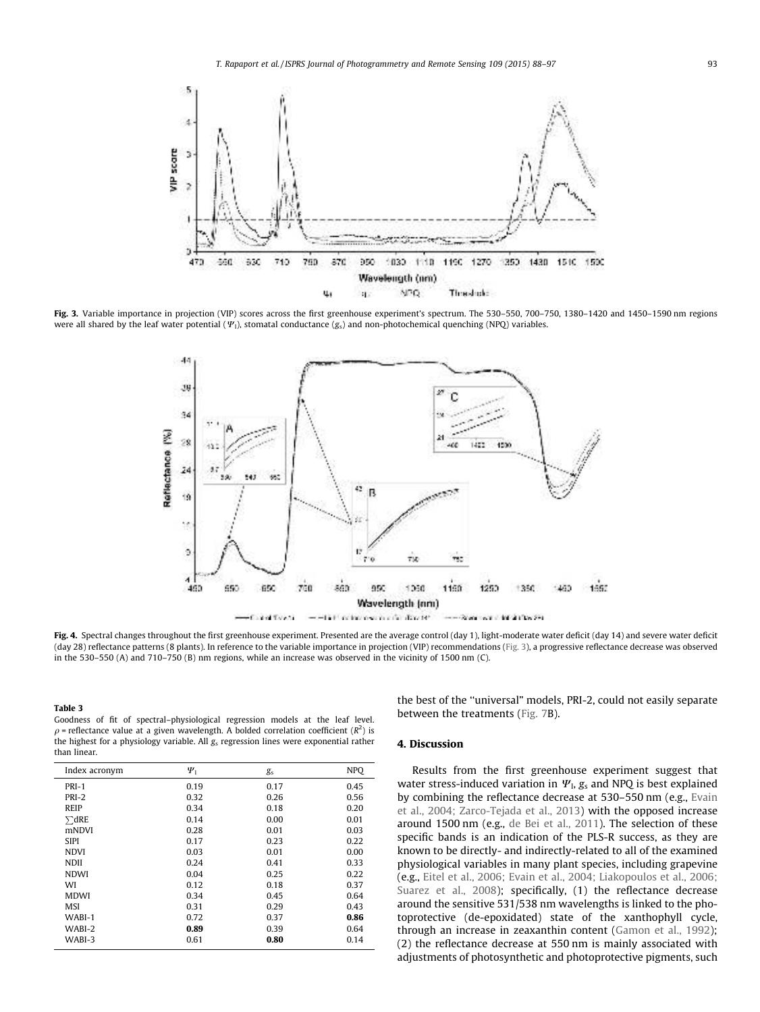

Fig. 3. Variable importance in projection (VIP) scores across the first greenhouse experiment's spectrum. The 530-550, 700-750, 1380-1420 and 1450-1590 nm regions were all shared by the leaf water potential  $(\Psi_1)$ , stomatal conductance  $(g_s)$  and non-photochemical quenching (NPQ) variables.



Fig. 4. Spectral changes throughout the first greenhouse experiment. Presented are the average control (day 1), light-moderate water deficit (day 14) and severe water deficit (day 28) reflectance patterns (8 plants). In reference to the variable importance in projection (VIP) recommendations (Fig. 3), a progressive reflectance decrease was observed in the 530–550 (A) and 710–750 (B) nm regions, while an increase was observed in the vicinity of 1500 nm (C).

Table 3

Goodness of fit of spectral–physiological regression models at the leaf level.  $\rho$  = reflectance value at a given wavelength. A bolded correlation coefficient ( $R^2$ ) is the highest for a physiology variable. All *g*<sup>s</sup> regression lines were exponential rather than linear.

| Index acronym | $\Psi_1$ | g <sub>s</sub> | <b>NPO</b> |
|---------------|----------|----------------|------------|
| PRI-1         | 0.19     | 0.17           | 0.45       |
| PRI-2         | 0.32     | 0.26           | 0.56       |
| <b>REIP</b>   | 0.34     | 0.18           | 0.20       |
| $\sum dRE$    | 0.14     | 0.00           | 0.01       |
| mNDVI         | 0.28     | 0.01           | 0.03       |
| <b>SIPI</b>   | 0.17     | 0.23           | 0.22       |
| <b>NDVI</b>   | 0.03     | 0.01           | 0.00       |
| <b>NDII</b>   | 0.24     | 0.41           | 0.33       |
| <b>NDWI</b>   | 0.04     | 0.25           | 0.22       |
| WI            | 0.12     | 0.18           | 0.37       |
| <b>MDWI</b>   | 0.34     | 0.45           | 0.64       |
| MSI           | 0.31     | 0.29           | 0.43       |
| WABI-1        | 0.72     | 0.37           | 0.86       |
| WABI-2        | 0.89     | 0.39           | 0.64       |
| WABI-3        | 0.61     | 0.80           | 0.14       |

the best of the ''universal" models, PRI-2, could not easily separate between the treatments (Fig. 7B).

# 4. Discussion

Results from the first greenhouse experiment suggest that water stress-induced variation in  $\Psi_{\rm l}$ ,  $g_{\rm s}$  and NPQ is best explained by combining the reflectance decrease at 530–550 nm (e.g., Evain et al., 2004; Zarco-Tejada et al., 2013) with the opposed increase around 1500 nm (e.g., de Bei et al., 2011). The selection of these specific bands is an indication of the PLS-R success, as they are known to be directly- and indirectly-related to all of the examined physiological variables in many plant species, including grapevine (e.g., Eitel et al., 2006; Evain et al., 2004; Liakopoulos et al., 2006; Suarez et al., 2008); specifically, (1) the reflectance decrease around the sensitive 531/538 nm wavelengths is linked to the photoprotective (de-epoxidated) state of the xanthophyll cycle, through an increase in zeaxanthin content (Gamon et al., 1992); (2) the reflectance decrease at 550 nm is mainly associated with adjustments of photosynthetic and photoprotective pigments, such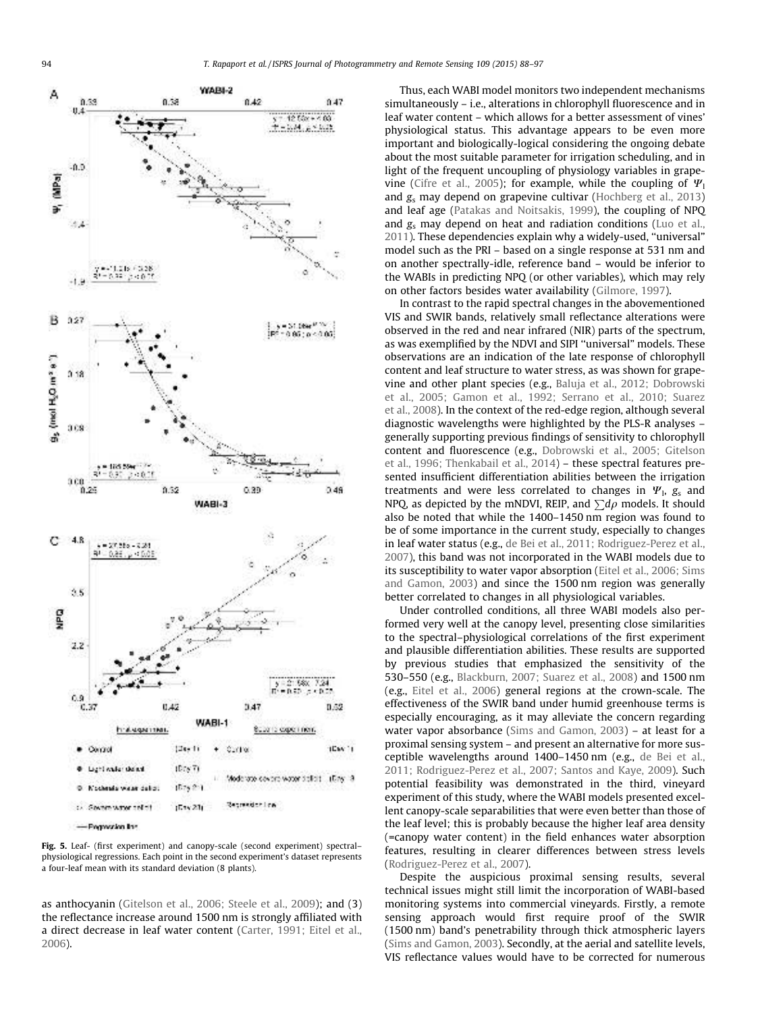

Fig. 5. Leaf- (first experiment) and canopy-scale (second experiment) spectral– physiological regressions. Each point in the second experiment's dataset represents a four-leaf mean with its standard deviation (8 plants).

as anthocyanin (Gitelson et al., 2006; Steele et al., 2009); and (3) the reflectance increase around 1500 nm is strongly affiliated with a direct decrease in leaf water content (Carter, 1991; Eitel et al., 2006).

Thus, each WABI model monitors two independent mechanisms simultaneously – i.e., alterations in chlorophyll fluorescence and in leaf water content – which allows for a better assessment of vines' physiological status. This advantage appears to be even more important and biologically-logical considering the ongoing debate about the most suitable parameter for irrigation scheduling, and in light of the frequent uncoupling of physiology variables in grapevine (Cifre et al., 2005); for example, while the coupling of  $\Psi_1$ and *g*<sup>s</sup> may depend on grapevine cultivar (Hochberg et al., 2013) and leaf age (Patakas and Noitsakis, 1999), the coupling of NPQ and *g*<sup>s</sup> may depend on heat and radiation conditions (Luo et al., 2011). These dependencies explain why a widely-used, ''universal" model such as the PRI – based on a single response at 531 nm and on another spectrally-idle, reference band – would be inferior to the WABIs in predicting NPQ (or other variables), which may rely on other factors besides water availability (Gilmore, 1997).

In contrast to the rapid spectral changes in the abovementioned VIS and SWIR bands, relatively small reflectance alterations were observed in the red and near infrared (NIR) parts of the spectrum, as was exemplified by the NDVI and SIPI ''universal" models. These observations are an indication of the late response of chlorophyll content and leaf structure to water stress, as was shown for grapevine and other plant species (e.g., Baluja et al., 2012; Dobrowski et al., 2005; Gamon et al., 1992; Serrano et al., 2010; Suarez et al., 2008). In the context of the red-edge region, although several diagnostic wavelengths were highlighted by the PLS-R analyses – generally supporting previous findings of sensitivity to chlorophyll content and fluorescence (e.g., Dobrowski et al., 2005; Gitelson et al., 1996; Thenkabail et al., 2014) – these spectral features presented insufficient differentiation abilities between the irrigation treatments and were less correlated to changes in  $\Psi$ <sub>l</sub>,  $g_s$  and NPQ, as depicted by the mNDVI, REIP, and  $\sum d\rho$  models. It should also be noted that while the 1400–1450 nm region was found to be of some importance in the current study, especially to changes in leaf water status (e.g., de Bei et al., 2011; Rodriguez-Perez et al., 2007), this band was not incorporated in the WABI models due to its susceptibility to water vapor absorption (Eitel et al., 2006; Sims and Gamon, 2003) and since the 1500 nm region was generally better correlated to changes in all physiological variables.

Under controlled conditions, all three WABI models also performed very well at the canopy level, presenting close similarities to the spectral–physiological correlations of the first experiment and plausible differentiation abilities. These results are supported by previous studies that emphasized the sensitivity of the 530–550 (e.g., Blackburn, 2007; Suarez et al., 2008) and 1500 nm (e.g., Eitel et al., 2006) general regions at the crown-scale. The effectiveness of the SWIR band under humid greenhouse terms is especially encouraging, as it may alleviate the concern regarding water vapor absorbance (Sims and Gamon, 2003) – at least for a proximal sensing system – and present an alternative for more susceptible wavelengths around 1400–1450 nm (e.g., de Bei et al., 2011; Rodriguez-Perez et al., 2007; Santos and Kaye, 2009). Such potential feasibility was demonstrated in the third, vineyard experiment of this study, where the WABI models presented excellent canopy-scale separabilities that were even better than those of the leaf level; this is probably because the higher leaf area density (=canopy water content) in the field enhances water absorption features, resulting in clearer differences between stress levels (Rodriguez-Perez et al., 2007).

Despite the auspicious proximal sensing results, several technical issues might still limit the incorporation of WABI-based monitoring systems into commercial vineyards. Firstly, a remote sensing approach would first require proof of the SWIR (1500 nm) band's penetrability through thick atmospheric layers (Sims and Gamon, 2003). Secondly, at the aerial and satellite levels, VIS reflectance values would have to be corrected for numerous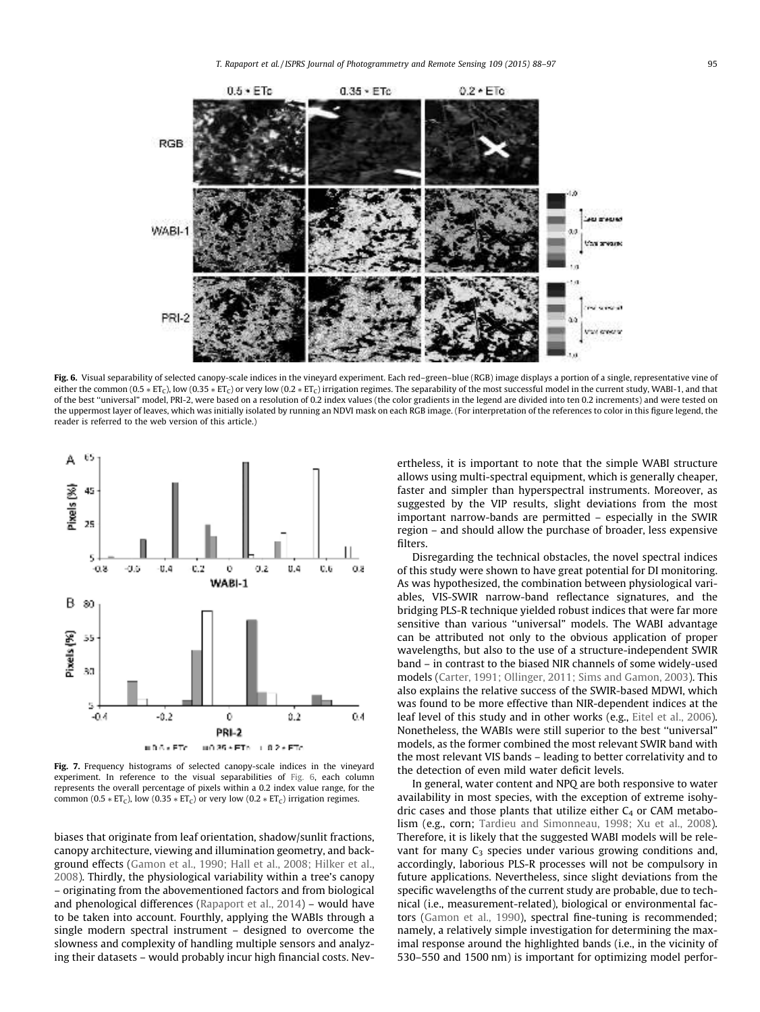

Fig. 6. Visual separability of selected canopy-scale indices in the vineyard experiment. Each red–green–blue (RGB) image displays a portion of a single, representative vine of either the common (0.5  $*$  ET<sub>C</sub>), low (0.35  $*$  ET<sub>C</sub>) or very low (0.2  $*$  ET<sub>C</sub>) irrigation regimes. The separability of the most successful model in the current study, WABI-1, and that of the best ''universal" model, PRI-2, were based on a resolution of 0.2 index values (the color gradients in the legend are divided into ten 0.2 increments) and were tested on the uppermost layer of leaves, which was initially isolated by running an NDVI mask on each RGB image. (For interpretation of the references to color in this figure legend, the reader is referred to the web version of this article.)



Fig. 7. Frequency histograms of selected canopy-scale indices in the vineyard experiment. In reference to the visual separabilities of Fig. 6, each column represents the overall percentage of pixels within a 0.2 index value range, for the common (0.5  $*$  ET<sub>C</sub>), low (0.35  $*$  ET<sub>C</sub>) or very low (0.2  $*$  ET<sub>C</sub>) irrigation regimes.

biases that originate from leaf orientation, shadow/sunlit fractions, canopy architecture, viewing and illumination geometry, and background effects (Gamon et al., 1990; Hall et al., 2008; Hilker et al., 2008). Thirdly, the physiological variability within a tree's canopy – originating from the abovementioned factors and from biological and phenological differences (Rapaport et al., 2014) – would have to be taken into account. Fourthly, applying the WABIs through a single modern spectral instrument – designed to overcome the slowness and complexity of handling multiple sensors and analyzing their datasets – would probably incur high financial costs. Nevertheless, it is important to note that the simple WABI structure allows using multi-spectral equipment, which is generally cheaper, faster and simpler than hyperspectral instruments. Moreover, as suggested by the VIP results, slight deviations from the most important narrow-bands are permitted – especially in the SWIR region – and should allow the purchase of broader, less expensive filters.

Disregarding the technical obstacles, the novel spectral indices of this study were shown to have great potential for DI monitoring. As was hypothesized, the combination between physiological variables, VIS-SWIR narrow-band reflectance signatures, and the bridging PLS-R technique yielded robust indices that were far more sensitive than various ''universal" models. The WABI advantage can be attributed not only to the obvious application of proper wavelengths, but also to the use of a structure-independent SWIR band – in contrast to the biased NIR channels of some widely-used models (Carter, 1991; Ollinger, 2011; Sims and Gamon, 2003). This also explains the relative success of the SWIR-based MDWI, which was found to be more effective than NIR-dependent indices at the leaf level of this study and in other works (e.g., Eitel et al., 2006). Nonetheless, the WABIs were still superior to the best ''universal" models, as the former combined the most relevant SWIR band with the most relevant VIS bands – leading to better correlativity and to the detection of even mild water deficit levels.

In general, water content and NPQ are both responsive to water availability in most species, with the exception of extreme isohydric cases and those plants that utilize either  $C_4$  or CAM metabolism (e.g., corn; Tardieu and Simonneau, 1998; Xu et al., 2008). Therefore, it is likely that the suggested WABI models will be relevant for many  $C_3$  species under various growing conditions and, accordingly, laborious PLS-R processes will not be compulsory in future applications. Nevertheless, since slight deviations from the specific wavelengths of the current study are probable, due to technical (i.e., measurement-related), biological or environmental factors (Gamon et al., 1990), spectral fine-tuning is recommended; namely, a relatively simple investigation for determining the maximal response around the highlighted bands (i.e., in the vicinity of 530–550 and 1500 nm) is important for optimizing model perfor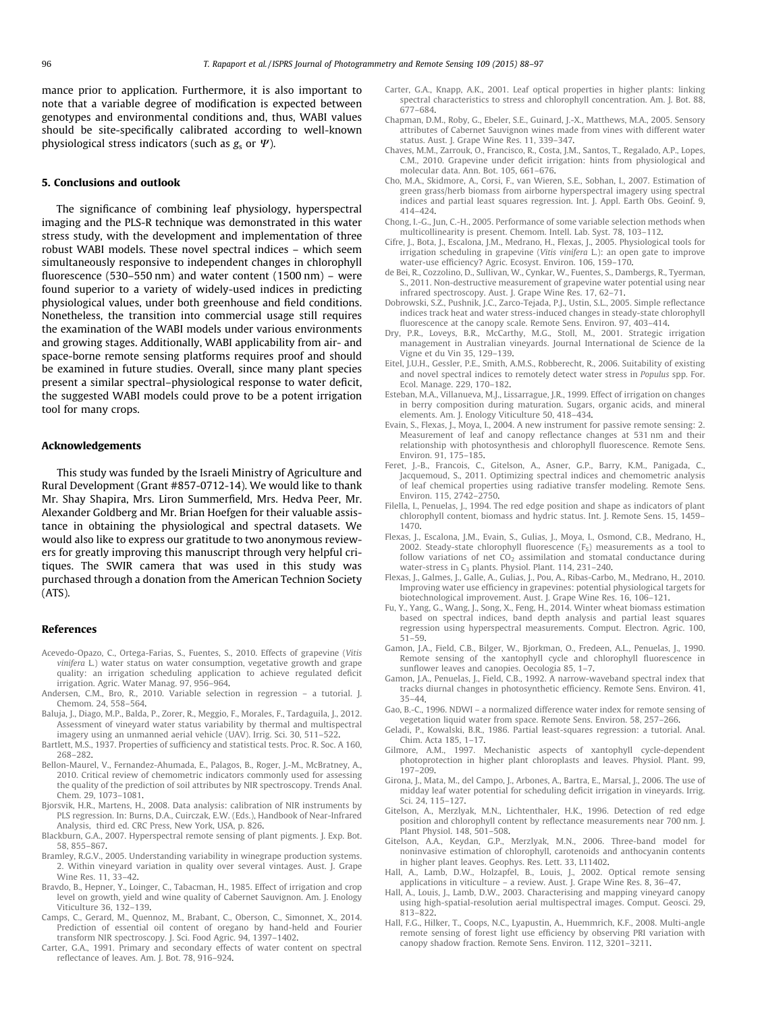mance prior to application. Furthermore, it is also important to note that a variable degree of modification is expected between genotypes and environmental conditions and, thus, WABI values should be site-specifically calibrated according to well-known physiological stress indicators (such as  $g_s$  or  $\Psi$ ).

## 5. Conclusions and outlook

The significance of combining leaf physiology, hyperspectral imaging and the PLS-R technique was demonstrated in this water stress study, with the development and implementation of three robust WABI models. These novel spectral indices – which seem simultaneously responsive to independent changes in chlorophyll fluorescence (530–550 nm) and water content (1500 nm) – were found superior to a variety of widely-used indices in predicting physiological values, under both greenhouse and field conditions. Nonetheless, the transition into commercial usage still requires the examination of the WABI models under various environments and growing stages. Additionally, WABI applicability from air- and space-borne remote sensing platforms requires proof and should be examined in future studies. Overall, since many plant species present a similar spectral–physiological response to water deficit, the suggested WABI models could prove to be a potent irrigation tool for many crops.

## Acknowledgements

This study was funded by the Israeli Ministry of Agriculture and Rural Development (Grant #857-0712-14). We would like to thank Mr. Shay Shapira, Mrs. Liron Summerfield, Mrs. Hedva Peer, Mr. Alexander Goldberg and Mr. Brian Hoefgen for their valuable assistance in obtaining the physiological and spectral datasets. We would also like to express our gratitude to two anonymous reviewers for greatly improving this manuscript through very helpful critiques. The SWIR camera that was used in this study was purchased through a donation from the American Technion Society (ATS).

## References

- Acevedo-Opazo, C., Ortega-Farias, S., Fuentes, S., 2010. Effects of grapevine (*Vitis vinifera* L.) water status on water consumption, vegetative growth and grape quality: an irrigation scheduling application to achieve regulated deficit irrigation. Agric. Water Manag. 97, 956–964.
- Andersen, C.M., Bro, R., 2010. Variable selection in regression a tutorial. J. Chemom. 24, 558–564.
- Baluja, J., Diago, M.P., Balda, P., Zorer, R., Meggio, F., Morales, F., Tardaguila, J., 2012. Assessment of vineyard water status variability by thermal and multispectral imagery using an unmanned aerial vehicle (UAV). Irrig. Sci. 30, 511–522.
- Bartlett, M.S., 1937. Properties of sufficiency and statistical tests. Proc. R. Soc. A 160, 268–282.
- Bellon-Maurel, V., Fernandez-Ahumada, E., Palagos, B., Roger, J.-M., McBratney, A., 2010. Critical review of chemometric indicators commonly used for assessing the quality of the prediction of soil attributes by NIR spectroscopy. Trends Anal. Chem. 29, 1073–1081.
- Bjorsvik, H.R., Martens, H., 2008. Data analysis: calibration of NIR instruments by PLS regression. In: Burns, D.A., Cuirczak, E.W. (Eds.), Handbook of Near-Infrared Analysis, third ed. CRC Press, New York, USA, p. 826.
- Blackburn, G.A., 2007. Hyperspectral remote sensing of plant pigments. J. Exp. Bot. 58, 855–867.
- Bramley, R.G.V., 2005. Understanding variability in winegrape production systems. 2. Within vineyard variation in quality over several vintages. Aust. J. Grape Wine Res. 11, 33–42.
- Bravdo, B., Hepner, Y., Loinger, C., Tabacman, H., 1985. Effect of irrigation and crop level on growth, yield and wine quality of Cabernet Sauvignon. Am. J. Enology Viticulture 36, 132–139.
- Camps, C., Gerard, M., Quennoz, M., Brabant, C., Oberson, C., Simonnet, X., 2014. Prediction of essential oil content of oregano by hand-held and Fourier transform NIR spectroscopy. J. Sci. Food Agric. 94, 1397–1402.
- Carter, G.A., 1991. Primary and secondary effects of water content on spectral reflectance of leaves. Am. J. Bot. 78, 916–924.
- Carter, G.A., Knapp, A.K., 2001. Leaf optical properties in higher plants: linking spectral characteristics to stress and chlorophyll concentration. Am. J. Bot. 88, 677–684.
- Chapman, D.M., Roby, G., Ebeler, S.E., Guinard, J.-X., Matthews, M.A., 2005. Sensory attributes of Cabernet Sauvignon wines made from vines with different water status. Aust. J. Grape Wine Res. 11, 339–347.
- Chaves, M.M., Zarrouk, O., Francisco, R., Costa, J.M., Santos, T., Regalado, A.P., Lopes, C.M., 2010. Grapevine under deficit irrigation: hints from physiological and molecular data. Ann. Bot. 105, 661–676.
- Cho, M.A., Skidmore, A., Corsi, F., van Wieren, S.E., Sobhan, I., 2007. Estimation of green grass/herb biomass from airborne hyperspectral imagery using spectral indices and partial least squares regression. Int. J. Appl. Earth Obs. Geoinf. 9, 414–424.
- Chong, I.-G., Jun, C.-H., 2005. Performance of some variable selection methods when multicollinearity is present. Chemom. Intell. Lab. Syst. 78, 103–112.
- Cifre, J., Bota, J., Escalona, J.M., Medrano, H., Flexas, J., 2005. Physiological tools for irrigation scheduling in grapevine (*Vitis vinifera* L.): an open gate to improve water-use efficiency? Agric. Ecosyst. Environ. 106, 159–170.
- de Bei, R., Cozzolino, D., Sullivan, W., Cynkar, W., Fuentes, S., Dambergs, R., Tyerman, S., 2011. Non-destructive measurement of grapevine water potential using near infrared spectroscopy. Aust. J. Grape Wine Res. 17, 62–71.
- Dobrowski, S.Z., Pushnik, J.C., Zarco-Tejada, P.J., Ustin, S.L., 2005. Simple reflectance indices track heat and water stress-induced changes in steady-state chlorophyll fluorescence at the canopy scale. Remote Sens. Environ. 97, 403–414.
- Dry, P.R., Loveys, B.R., McCarthy, M.G., Stoll, M., 2001. Strategic irrigation management in Australian vineyards. Journal International de Science de la Vigne et du Vin 35, 129–139.
- Eitel, J.U.H., Gessler, P.E., Smith, A.M.S., Robberecht, R., 2006. Suitability of existing and novel spectral indices to remotely detect water stress in *Populus* spp. For. Ecol. Manage. 229, 170–182.
- Esteban, M.A., Villanueva, M.J., Lissarrague, J.R., 1999. Effect of irrigation on changes in berry composition during maturation. Sugars, organic acids, and mineral elements. Am. J. Enology Viticulture 50, 418–434.
- Evain, S., Flexas, J., Moya, I., 2004. A new instrument for passive remote sensing: 2. Measurement of leaf and canopy reflectance changes at 531 nm and their relationship with photosynthesis and chlorophyll fluorescence. Remote Sens. Environ. 91, 175–185.
- Feret, J.-B., Francois, C., Gitelson, A., Asner, G.P., Barry, K.M., Panigada, C., Jacquemoud, S., 2011. Optimizing spectral indices and chemometric analysis of leaf chemical properties using radiative transfer modeling. Remote Sens. Environ. 115, 2742–2750.
- Filella, I., Penuelas, J., 1994. The red edge position and shape as indicators of plant chlorophyll content, biomass and hydric status. Int. J. Remote Sens. 15, 1459– 1470.
- Flexas, J., Escalona, J.M., Evain, S., Gulias, J., Moya, I., Osmond, C.B., Medrano, H., 2002. Steady-state chlorophyll fluorescence  $(F_S)$  measurements as a tool to follow variations of net  $CO<sub>2</sub>$  assimilation and stomatal conductance during water-stress in  $C_3$  plants. Physiol. Plant. 114, 231–240.
- Flexas, J., Galmes, J., Galle, A., Gulias, J., Pou, A., Ribas-Carbo, M., Medrano, H., 2010. Improving water use efficiency in grapevines: potential physiological targets for biotechnological improvement. Aust. J. Grape Wine Res. 16, 106–121.
- Fu, Y., Yang, G., Wang, J., Song, X., Feng, H., 2014. Winter wheat biomass estimation based on spectral indices, band depth analysis and partial least squares regression using hyperspectral measurements. Comput. Electron. Agric. 100, 51–59.
- Gamon, J.A., Field, C.B., Bilger, W., Bjorkman, O., Fredeen, A.L., Penuelas, J., 1990. Remote sensing of the xantophyll cycle and chlorophyll fluorescence in sunflower leaves and canopies. Oecologia 85, 1–7.
- Gamon, J.A., Penuelas, J., Field, C.B., 1992. A narrow-waveband spectral index that tracks diurnal changes in photosynthetic efficiency. Remote Sens. Environ. 41, 35–44.
- Gao, B.-C., 1996. NDWI a normalized difference water index for remote sensing of vegetation liquid water from space. Remote Sens. Environ. 58, 257–266.
- Geladi, P., Kowalski, B.R., 1986. Partial least-squares regression: a tutorial. Anal. Chim. Acta 185, 1–17.
- Gilmore, A.M., 1997. Mechanistic aspects of xantophyll cycle-dependent photoprotection in higher plant chloroplasts and leaves. Physiol. Plant. 99, 197–209.
- Girona, J., Mata, M., del Campo, J., Arbones, A., Bartra, E., Marsal, J., 2006. The use of midday leaf water potential for scheduling deficit irrigation in vineyards. Irrig. Sci. 24, 115–127.
- Gitelson, A., Merzlyak, M.N., Lichtenthaler, H.K., 1996. Detection of red edge position and chlorophyll content by reflectance measurements near 700 nm. J. Plant Physiol. 148, 501–508.
- Gitelson, A.A., Keydan, G.P., Merzlyak, M.N., 2006. Three-band model for noninvasive estimation of chlorophyll, carotenoids and anthocyanin contents in higher plant leaves. Geophys. Res. Lett. 33, L11402.
- Hall, A., Lamb, D.W., Holzapfel, B., Louis, J., 2002. Optical remote sensing applications in viticulture a review. Aust. J. Grape Wine Res. 8, 36–47.
- Hall, A., Louis, J., Lamb, D.W., 2003. Characterising and mapping vineyard canopy using high-spatial-resolution aerial multispectral images. Comput. Geosci. 29, 813–822.
- Hall, F.G., Hilker, T., Coops, N.C., Lyapustin, A., Huemmrich, K.F., 2008. Multi-angle remote sensing of forest light use efficiency by observing PRI variation with canopy shadow fraction. Remote Sens. Environ. 112, 3201–3211.